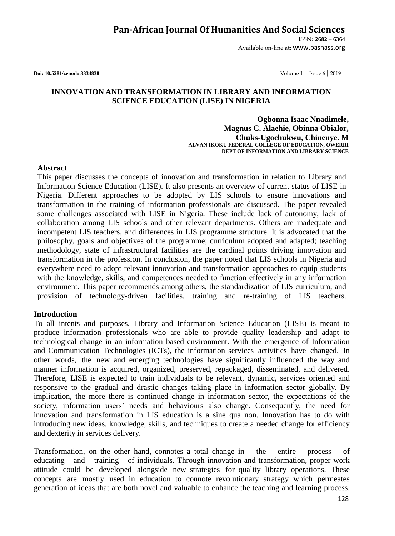ISSN: **2682 – 6364** Available on-line at**:** www.pashass.org

**Doi: 10.5281/zenodo.3334838** Volume 1 │ Issue 6│ 2019

## **INNOVATION AND TRANSFORMATION IN LIBRARY AND INFORMATION SCIENCE EDUCATION (LISE) IN NIGERIA**

**Ogbonna Isaac Nnadimele, Magnus C. Alaehie, Obinna Obialor, Chuks-Ugochukwu, Chinenye. M ALVAN IKOKU FEDERAL COLLEGE OF EDUCATION, OWERRI DEPT OF INFORMATION AND LIBRARY SCIENCE**

#### **Abstract**

This paper discusses the concepts of innovation and transformation in relation to Library and Information Science Education (LISE). It also presents an overview of current status of LISE in Nigeria. Different approaches to be adopted by LIS schools to ensure innovations and transformation in the training of information professionals are discussed. The paper revealed some challenges associated with LISE in Nigeria. These include lack of autonomy, lack of collaboration among LIS schools and other relevant departments. Others are inadequate and incompetent LIS teachers, and differences in LIS programme structure. It is advocated that the philosophy, goals and objectives of the programme; curriculum adopted and adapted; teaching methodology, state of infrastructural facilities are the cardinal points driving innovation and transformation in the profession. In conclusion, the paper noted that LIS schools in Nigeria and everywhere need to adopt relevant innovation and transformation approaches to equip students with the knowledge, skills, and competences needed to function effectively in any information environment. This paper recommends among others, the standardization of LIS curriculum, and provision of technology-driven facilities, training and re-training of LIS teachers.

#### **Introduction**

To all intents and purposes, Library and Information Science Education (LISE) is meant to produce information professionals who are able to provide quality leadership and adapt to technological change in an information based environment. With the emergence of Information and Communication Technologies (ICTs), the information services activities have changed. In other words, the new and emerging technologies have significantly influenced the way and manner information is acquired, organized, preserved, repackaged, disseminated, and delivered. Therefore, LISE is expected to train individuals to be relevant, dynamic, services oriented and responsive to the gradual and drastic changes taking place in information sector globally. By implication, the more there is continued change in information sector, the expectations of the society, information users' needs and behaviours also change. Consequently, the need for innovation and transformation in LIS education is a sine qua non. Innovation has to do with introducing new ideas, knowledge, skills, and techniques to create a needed change for efficiency and dexterity in services delivery.

Transformation, on the other hand, connotes a total change in the entire process of educating and training of individuals. Through innovation and transformation, proper work attitude could be developed alongside new strategies for quality library operations. These concepts are mostly used in education to connote revolutionary strategy which permeates generation of ideas that are both novel and valuable to enhance the teaching and learning process.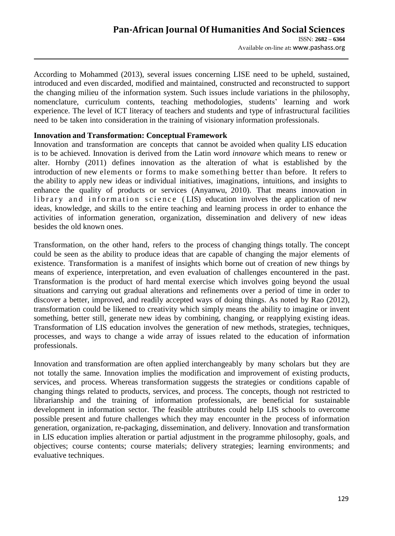According to Mohammed (2013), several issues concerning LISE need to be upheld, sustained, introduced and even discarded, modified and maintained, constructed and reconstructed to support the changing milieu of the information system. Such issues include variations in the philosophy, nomenclature, curriculum contents, teaching methodologies, students' learning and work experience. The level of ICT literacy of teachers and students and type of infrastructural facilities need to be taken into consideration in the training of visionary information professionals.

## **Innovation and Transformation: Conceptual Framework**

Innovation and transformation are concepts that cannot be avoided when quality LIS education is to be achieved. Innovation is derived from the Latin word *innovare* which means to renew or alter. Hornby (2011) defines innovation as the alteration of what is established by the introduction of new elements or forms to make something better than before. It refers to the ability to apply new ideas or individual initiatives, imaginations, intuitions, and insights to enhance the quality of products or services (Anyanwu, 2010). That means innovation in library and information science (LIS) education involves the application of new ideas, knowledge, and skills to the entire teaching and learning process in order to enhance the activities of information generation, organization, dissemination and delivery of new ideas besides the old known ones.

Transformation, on the other hand, refers to the process of changing things totally. The concept could be seen as the ability to produce ideas that are capable of changing the major elements of existence. Transformation is a manifest of insights which borne out of creation of new things by means of experience, interpretation, and even evaluation of challenges encountered in the past. Transformation is the product of hard mental exercise which involves going beyond the usual situations and carrying out gradual alterations and refinements over a period of time in order to discover a better, improved, and readily accepted ways of doing things. As noted by Rao (2012), transformation could be likened to creativity which simply means the ability to imagine or invent something, better still, generate new ideas by combining, changing, or reapplying existing ideas. Transformation of LIS education involves the generation of new methods, strategies, techniques, processes, and ways to change a wide array of issues related to the education of information professionals.

Innovation and transformation are often applied interchangeably by many scholars but they are not totally the same. Innovation implies the modification and improvement of existing products, services, and process. Whereas transformation suggests the strategies or conditions capable of changing things related to products, services, and process. The concepts, though not restricted to librarianship and the training of information professionals, are beneficial for sustainable development in information sector. The feasible attributes could help LIS schools to overcome possible present and future challenges which they may encounter in the process of information generation, organization, re-packaging, dissemination, and delivery. Innovation and transformation in LIS education implies alteration or partial adjustment in the programme philosophy, goals, and objectives; course contents; course materials; delivery strategies; learning environments; and evaluative techniques.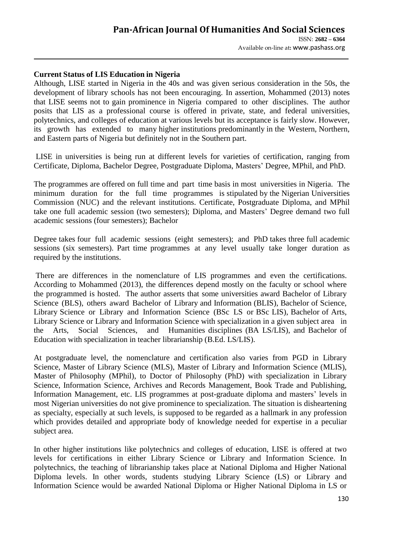## **Current Status of LIS Education in Nigeria**

Although, LISE started in Nigeria in the 40s and was given serious consideration in the 50s, the development of library schools has not been encouraging. In assertion, Mohammed (2013) notes that LISE seems not to gain prominence in Nigeria compared to other disciplines. The author posits that LIS as a professional course is offered in private, state, and federal universities, polytechnics, and colleges of education at various levels but its acceptance is fairly slow. However, its growth has extended to many higher institutions predominantly in the Western, Northern, and Eastern parts of Nigeria but definitely not in the Southern part.

LISE in universities is being run at different levels for varieties of certification, ranging from Certificate, Diploma, Bachelor Degree, Postgraduate Diploma, Masters' Degree, MPhil, and PhD.

The programmes are offered on full time and part time basis in most universities in Nigeria. The minimum duration for the full time programmes is stipulated by the Nigerian Universities Commission (NUC) and the relevant institutions. Certificate, Postgraduate Diploma, and MPhil take one full academic session (two semesters); Diploma, and Masters' Degree demand two full academic sessions (four semesters); Bachelor

Degree takes four full academic sessions (eight semesters); and PhD takes three full academic sessions (six semesters). Part time programmes at any level usually take longer duration as required by the institutions.

There are differences in the nomenclature of LIS programmes and even the certifications. According to Mohammed (2013), the differences depend mostly on the faculty or school where the programmed is hosted. The author asserts that some universities award Bachelor of Library Science (BLS), others award Bachelor of Library and Information (BLIS), Bachelor of Science, Library Science or Library and Information Science (BSc LS or BSc LIS), Bachelor of Arts, Library Science or Library and Information Science with specialization in a given subject area in the Arts, Social Sciences, and Humanities disciplines (BA LS/LIS), and Bachelor of Education with specialization in teacher librarianship (B.Ed. LS/LIS).

At postgraduate level, the nomenclature and certification also varies from PGD in Library Science, Master of Library Science (MLS), Master of Library and Information Science (MLIS), Master of Philosophy (MPhil), to Doctor of Philosophy (PhD) with specialization in Library Science, Information Science, Archives and Records Management, Book Trade and Publishing, Information Management, etc. LIS programmes at post-graduate diploma and masters' levels in most Nigerian universities do not give prominence to specialization. The situation is disheartening as specialty, especially at such levels, is supposed to be regarded as a hallmark in any profession which provides detailed and appropriate body of knowledge needed for expertise in a peculiar subject area.

In other higher institutions like polytechnics and colleges of education, LISE is offered at two levels for certifications in either Library Science or Library and Information Science. In polytechnics, the teaching of librarianship takes place at National Diploma and Higher National Diploma levels. In other words, students studying Library Science (LS) or Library and Information Science would be awarded National Diploma or Higher National Diploma in LS or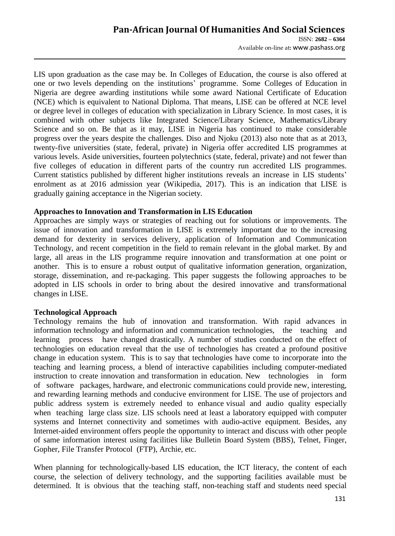## **Pan-African Journal Of Humanities And Social Sciences**  ISSN: **2682 – 6364** Available on-line at**:** www.pashass.org

LIS upon graduation as the case may be. In Colleges of Education, the course is also offered at one or two levels depending on the institutions' programme. Some Colleges of Education in Nigeria are degree awarding institutions while some award National Certificate of Education (NCE) which is equivalent to National Diploma. That means, LISE can be offered at NCE level or degree level in colleges of education with specialization in Library Science. In most cases, it is combined with other subjects like Integrated Science/Library Science, Mathematics/Library Science and so on. Be that as it may, LISE in Nigeria has continued to make considerable progress over the years despite the challenges. Diso and Njoku (2013) also note that as at 2013, twenty-five universities (state, federal, private) in Nigeria offer accredited LIS programmes at various levels. Aside universities, fourteen polytechnics (state, federal, private) and not fewer than five colleges of education in different parts of the country run accredited LIS programmes. Current statistics published by different higher institutions reveals an increase in LIS students' enrolment as at 2016 admission year (Wikipedia, 2017). This is an indication that LISE is gradually gaining acceptance in the Nigerian society.

#### **Approaches to Innovation and Transformation in LIS Education**

Approaches are simply ways or strategies of reaching out for solutions or improvements. The issue of innovation and transformation in LISE is extremely important due to the increasing demand for dexterity in services delivery, application of Information and Communication Technology, and recent competition in the field to remain relevant in the global market. By and large, all areas in the LIS programme require innovation and transformation at one point or another. This is to ensure a robust output of qualitative information generation, organization, storage, dissemination, and re-packaging. This paper suggests the following approaches to be adopted in LIS schools in order to bring about the desired innovative and transformational changes in LISE.

#### **Technological Approach**

Technology remains the hub of innovation and transformation. With rapid advances in information technology and information and communication technologies, the teaching and learning process have changed drastically. A number of studies conducted on the effect of technologies on education reveal that the use of technologies has created a profound positive change in education system. This is to say that technologies have come to incorporate into the teaching and learning process, a blend of interactive capabilities including computer-mediated instruction to create innovation and transformation in education. New technologies in form of software packages, hardware, and electronic communications could provide new, interesting, and rewarding learning methods and conducive environment for LISE. The use of projectors and public address system is extremely needed to enhance visual and audio quality especially when teaching large class size. LIS schools need at least a laboratory equipped with computer systems and Internet connectivity and sometimes with audio-active equipment. Besides, any Internet-aided environment offers people the opportunity to interact and discuss with other people of same information interest using facilities like Bulletin Board System (BBS), Telnet, Finger, Gopher, File Transfer Protocol (FTP), Archie, etc.

When planning for technologically-based LIS education, the ICT literacy, the content of each course, the selection of delivery technology, and the supporting facilities available must be determined. It is obvious that the teaching staff, non-teaching staff and students need special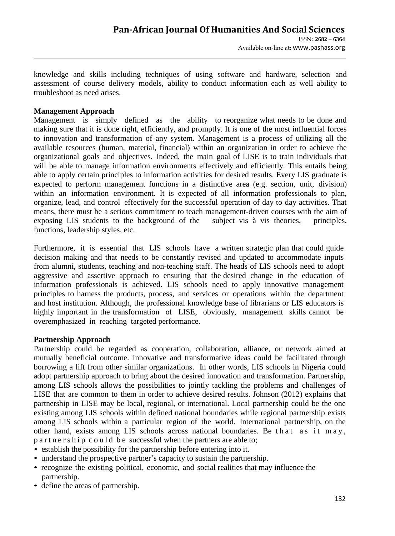knowledge and skills including techniques of using software and hardware, selection and assessment of course delivery models, ability to conduct information each as well ability to troubleshoot as need arises.

## **Management Approach**

Management is simply defined as the ability to reorganize what needs to be done and making sure that it is done right, efficiently, and promptly. It is one of the most influential forces to innovation and transformation of any system. Management is a process of utilizing all the available resources (human, material, financial) within an organization in order to achieve the organizational goals and objectives. Indeed, the main goal of LISE is to train individuals that will be able to manage information environments effectively and efficiently. This entails being able to apply certain principles to information activities for desired results. Every LIS graduate is expected to perform management functions in a distinctive area (e.g. section, unit, division) within an information environment. It is expected of all information professionals to plan, organize, lead, and control effectively for the successful operation of day to day activities. That means, there must be a serious commitment to teach management-driven courses with the aim of exposing LIS students to the background of the subject vis à vis theories, principles, functions, leadership styles, etc.

Furthermore, it is essential that LIS schools have a written strategic plan that could guide decision making and that needs to be constantly revised and updated to accommodate inputs from alumni, students, teaching and non-teaching staff. The heads of LIS schools need to adopt aggressive and assertive approach to ensuring that the desired change in the education of information professionals is achieved. LIS schools need to apply innovative management principles to harness the products, process, and services or operations within the department and host institution. Although, the professional knowledge base of librarians or LIS educators is highly important in the transformation of LISE, obviously, management skills cannot be overemphasized in reaching targeted performance.

#### **Partnership Approach**

Partnership could be regarded as cooperation, collaboration, alliance, or network aimed at mutually beneficial outcome. Innovative and transformative ideas could be facilitated through borrowing a lift from other similar organizations. In other words, LIS schools in Nigeria could adopt partnership approach to bring about the desired innovation and transformation. Partnership, among LIS schools allows the possibilities to jointly tackling the problems and challenges of LISE that are common to them in order to achieve desired results. Johnson (2012) explains that partnership in LISE may be local, regional, or international. Local partnership could be the one existing among LIS schools within defined national boundaries while regional partnership exists among LIS schools within a particular region of the world. International partnership, on the other hand, exists among LIS schools across national boundaries. Be that as it may, p a r t n e r s h i p c o u l d b e successful when the partners are able to;

- establish the possibility for the partnership before entering into it.
- understand the prospective partner's capacity to sustain the partnership.
- recognize the existing political, economic, and social realities that may influence the partnership.
- define the areas of partnership.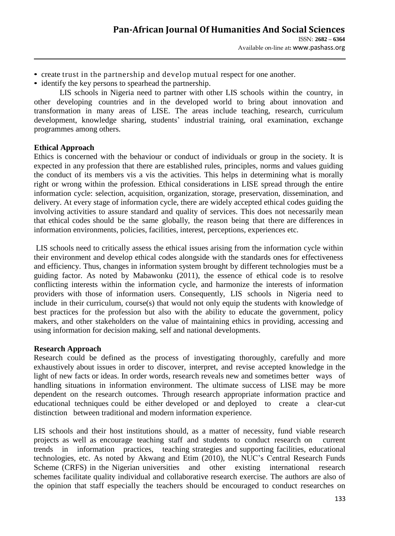- create trust in the partnership and develop mutual respect for one another.
- identify the key persons to spearhead the partnership.

LIS schools in Nigeria need to partner with other LIS schools within the country, in other developing countries and in the developed world to bring about innovation and transformation in many areas of LISE. The areas include teaching, research, curriculum development, knowledge sharing, students' industrial training, oral examination, exchange programmes among others.

## **Ethical Approach**

Ethics is concerned with the behaviour or conduct of individuals or group in the society. It is expected in any profession that there are established rules, principles, norms and values guiding the conduct of its members vis a vis the activities. This helps in determining what is morally right or wrong within the profession. Ethical considerations in LISE spread through the entire information cycle: selection, acquisition, organization, storage, preservation, dissemination, and delivery. At every stage of information cycle, there are widely accepted ethical codes guiding the involving activities to assure standard and quality of services. This does not necessarily mean that ethical codes should be the same globally, the reason being that there are differences in information environments, policies, facilities, interest, perceptions, experiences etc.

LIS schools need to critically assess the ethical issues arising from the information cycle within their environment and develop ethical codes alongside with the standards ones for effectiveness and efficiency. Thus, changes in information system brought by different technologies must be a guiding factor. As noted by Mabawonku (2011), the essence of ethical code is to resolve conflicting interests within the information cycle, and harmonize the interests of information providers with those of information users. Consequently, LIS schools in Nigeria need to include in their curriculum, course(s) that would not only equip the students with knowledge of best practices for the profession but also with the ability to educate the government, policy makers, and other stakeholders on the value of maintaining ethics in providing, accessing and using information for decision making, self and national developments.

# **Research Approach**

Research could be defined as the process of investigating thoroughly, carefully and more exhaustively about issues in order to discover, interpret, and revise accepted knowledge in the light of new facts or ideas. In order words, research reveals new and sometimes better ways of handling situations in information environment. The ultimate success of LISE may be more dependent on the research outcomes. Through research appropriate information practice and educational techniques could be either developed or and deployed to create a clear-cut distinction between traditional and modern information experience.

LIS schools and their host institutions should, as a matter of necessity, fund viable research projects as well as encourage teaching staff and students to conduct research on current trends in information practices, teaching strategies and supporting facilities, educational technologies, etc. As noted by Akwang and Etim (2010), the NUC's Central Research Funds Scheme (CRFS) in the Nigerian universities and other existing international research schemes facilitate quality individual and collaborative research exercise. The authors are also of the opinion that staff especially the teachers should be encouraged to conduct researches on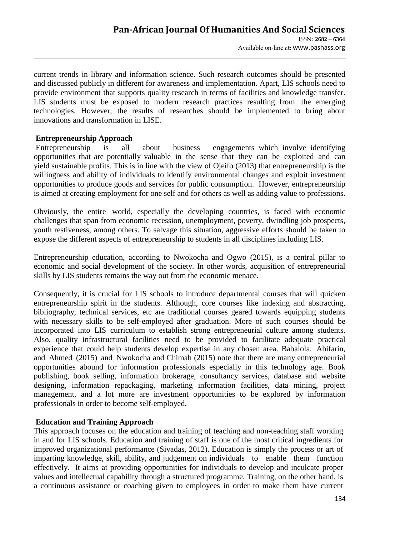current trends in library and information science. Such research outcomes should be presented and discussed publicly in different for awareness and implementation. Apart, LIS schools need to provide environment that supports quality research in terms of facilities and knowledge transfer. LIS students must be exposed to modern research practices resulting from the emerging technologies. However, the results of researches should be implemented to bring about innovations and transformation in LISE.

## **Entrepreneurship Approach**

Entrepreneurship is all about business engagements which involve identifying opportunities that are potentially valuable in the sense that they can be exploited and can yield sustainable profits. This is in line with the view of Ojeifo (2013) that entrepreneurship is the willingness and ability of individuals to identify environmental changes and exploit investment opportunities to produce goods and services for public consumption. However, entrepreneurship is aimed at creating employment for one self and for others as well as adding value to professions.

Obviously, the entire world, especially the developing countries, is faced with economic challenges that span from economic recession, unemployment, poverty, dwindling job prospects, youth restiveness, among others. To salvage this situation, aggressive efforts should be taken to expose the different aspects of entrepreneurship to students in all disciplines including LIS.

Entrepreneurship education, according to Nwokocha and Ogwo (2015), is a central pillar to economic and social development of the society. In other words, acquisition of entrepreneurial skills by LIS students remains the way out from the economic menace.

Consequently, it is crucial for LIS schools to introduce departmental courses that will quicken entrepreneurship spirit in the students. Although, core courses like indexing and abstracting, bibliography, technical services, etc are traditional courses geared towards equipping students with necessary skills to be self-employed after graduation. More of such courses should be incorporated into LIS curriculum to establish strong entrepreneurial culture among students. Also, quality infrastructural facilities need to be provided to facilitate adequate practical experience that could help students develop expertise in any chosen area. Babalola, Abifarin, and Ahmed (2015) and Nwokocha and Chimah (2015) note that there are many entrepreneurial opportunities abound for information professionals especially in this technology age. Book publishing, book selling, information brokerage, consultancy services, database and website designing, information repackaging, marketing information facilities, data mining, project management, and a lot more are investment opportunities to be explored by information professionals in order to become self-employed.

#### **Education and Training Approach**

This approach focuses on the education and training of teaching and non-teaching staff working in and for LIS schools. Education and training of staff is one of the most critical ingredients for improved organizational performance (Sivadas, 2012). Education is simply the process or art of imparting knowledge, skill, ability, and judgement on individuals to enable them function effectively. It aims at providing opportunities for individuals to develop and inculcate proper values and intellectual capability through a structured programme. Training, on the other hand, is a continuous assistance or coaching given to employees in order to make them have current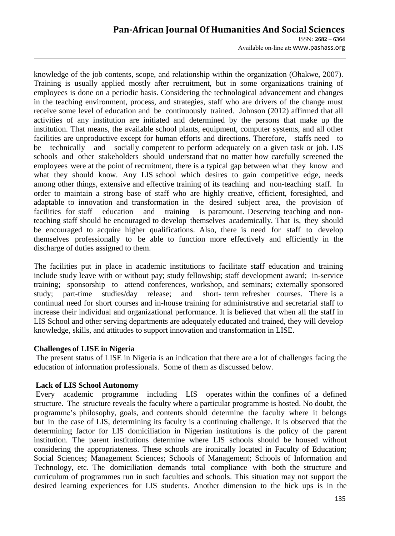## **Pan-African Journal Of Humanities And Social Sciences**  ISSN: **2682 – 6364** Available on-line at**:** www.pashass.org

knowledge of the job contents, scope, and relationship within the organization (Ohakwe, 2007). Training is usually applied mostly after recruitment, but in some organizations training of employees is done on a periodic basis. Considering the technological advancement and changes in the teaching environment, process, and strategies, staff who are drivers of the change must receive some level of education and be continuously trained. Johnson (2012) affirmed that all activities of any institution are initiated and determined by the persons that make up the institution. That means, the available school plants, equipment, computer systems, and all other facilities are unproductive except for human efforts and directions. Therefore, staffs need to be technically and socially competent to perform adequately on a given task or job. LIS schools and other stakeholders should understand that no matter how carefully screened the employees were at the point of recruitment, there is a typical gap between what they know and what they should know. Any LIS school which desires to gain competitive edge, needs among other things, extensive and effective training of its teaching and non-teaching staff. In order to maintain a strong base of staff who are highly creative, efficient, foresighted, and adaptable to innovation and transformation in the desired subject area, the provision of facilities for staff education and training is paramount. Deserving teaching and nonteaching staff should be encouraged to develop themselves academically. That is, they should be encouraged to acquire higher qualifications. Also, there is need for staff to develop themselves professionally to be able to function more effectively and efficiently in the discharge of duties assigned to them.

The facilities put in place in academic institutions to facilitate staff education and training include study leave with or without pay; study fellowship; staff development award; in-service training; sponsorship to attend conferences, workshop, and seminars; externally sponsored study; part-time studies/day release; and short- term refresher courses. There is a continual need for short courses and in-house training for administrative and secretarial staff to increase their individual and organizational performance. It is believed that when all the staff in LIS School and other serving departments are adequately educated and trained, they will develop knowledge, skills, and attitudes to support innovation and transformation in LISE.

#### **Challenges of LISE in Nigeria**

The present status of LISE in Nigeria is an indication that there are a lot of challenges facing the education of information professionals. Some of them as discussed below.

# **Lack of LIS School Autonomy**

Every academic programme including LIS operates within the confines of a defined structure. The structure reveals the faculty where a particular programme is hosted. No doubt, the programme's philosophy, goals, and contents should determine the faculty where it belongs but in the case of LIS, determining its faculty is a continuing challenge. It is observed that the determining factor for LIS domiciliation in Nigerian institutions is the policy of the parent institution. The parent institutions determine where LIS schools should be housed without considering the appropriateness. These schools are ironically located in Faculty of Education; Social Sciences; Management Sciences; Schools of Management; Schools of Information and Technology, etc. The domiciliation demands total compliance with both the structure and curriculum of programmes run in such faculties and schools. This situation may not support the desired learning experiences for LIS students. Another dimension to the hick ups is in the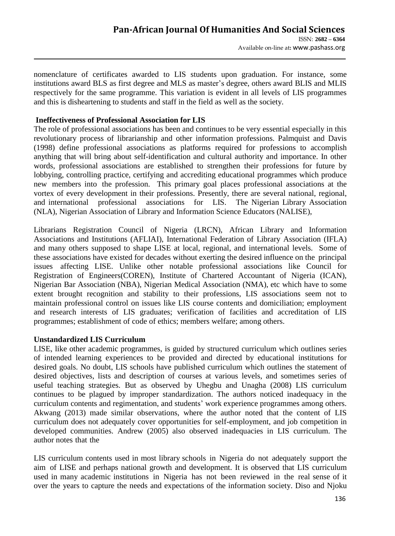nomenclature of certificates awarded to LIS students upon graduation. For instance, some institutions award BLS as first degree and MLS as master's degree, others award BLIS and MLIS respectively for the same programme. This variation is evident in all levels of LIS programmes and this is disheartening to students and staff in the field as well as the society.

## **Ineffectiveness of Professional Association for LIS**

The role of professional associations has been and continues to be very essential especially in this revolutionary process of librarianship and other information professions. Palmquist and Davis (1998) define professional associations as platforms required for professions to accomplish anything that will bring about self-identification and cultural authority and importance. In other words, professional associations are established to strengthen their professions for future by lobbying, controlling practice, certifying and accrediting educational programmes which produce new members into the profession. This primary goal places professional associations at the vortex of every development in their professions. Presently, there are several national, regional, and international professional associations for LIS. The Nigerian Library Association (NLA), Nigerian Association of Library and Information Science Educators (NALISE),

Librarians Registration Council of Nigeria (LRCN), African Library and Information Associations and Institutions (AFLIAI), International Federation of Library Association (IFLA) and many others supposed to shape LISE at local, regional, and international levels. Some of these associations have existed for decades without exerting the desired influence on the principal issues affecting LISE. Unlike other notable professional associations like Council for Registration of Engineers(COREN), Institute of Chartered Accountant of Nigeria (ICAN), Nigerian Bar Association (NBA), Nigerian Medical Association (NMA), etc which have to some extent brought recognition and stability to their professions, LIS associations seem not to maintain professional control on issues like LIS course contents and domiciliation; employment and research interests of LIS graduates; verification of facilities and accreditation of LIS programmes; establishment of code of ethics; members welfare; among others.

#### **Unstandardized LIS Curriculum**

LISE, like other academic programmes, is guided by structured curriculum which outlines series of intended learning experiences to be provided and directed by educational institutions for desired goals. No doubt, LIS schools have published curriculum which outlines the statement of desired objectives, lists and description of courses at various levels, and sometimes series of useful teaching strategies. But as observed by Uhegbu and Unagha (2008) LIS curriculum continues to be plagued by improper standardization. The authors noticed inadequacy in the curriculum contents and regimentation, and students' work experience programmes among others. Akwang (2013) made similar observations, where the author noted that the content of LIS curriculum does not adequately cover opportunities for self-employment, and job competition in developed communities. Andrew (2005) also observed inadequacies in LIS curriculum. The author notes that the

LIS curriculum contents used in most library schools in Nigeria do not adequately support the aim of LISE and perhaps national growth and development. It is observed that LIS curriculum used in many academic institutions in Nigeria has not been reviewed in the real sense of it over the years to capture the needs and expectations of the information society. Diso and Njoku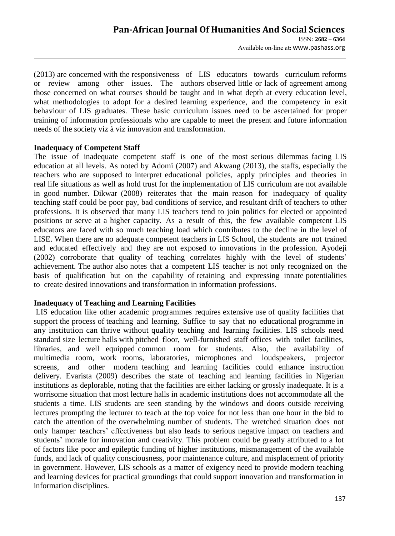(2013) are concerned with the responsiveness of LIS educators towards curriculum reforms or review among other issues. The authors observed little or lack of agreement among those concerned on what courses should be taught and in what depth at every education level, what methodologies to adopt for a desired learning experience, and the competency in exit behaviour of LIS graduates. These basic curriculum issues need to be ascertained for proper training of information professionals who are capable to meet the present and future information needs of the society viz à viz innovation and transformation.

#### **Inadequacy of Competent Staff**

The issue of inadequate competent staff is one of the most serious dilemmas facing LIS education at all levels. As noted by Adomi (2007) and Akwang (2013), the staffs, especially the teachers who are supposed to interpret educational policies, apply principles and theories in real life situations as well as hold trust for the implementation of LIS curriculum are not available in good number. Dikwar (2008) reiterates that the main reason for inadequacy of quality teaching staff could be poor pay, bad conditions of service, and resultant drift of teachers to other professions. It is observed that many LIS teachers tend to join politics for elected or appointed positions or serve at a higher capacity. As a result of this, the few available competent LIS educators are faced with so much teaching load which contributes to the decline in the level of LISE. When there are no adequate competent teachers in LIS School, the students are not trained and educated effectively and they are not exposed to innovations in the profession. Ayodeji (2002) corroborate that quality of teaching correlates highly with the level of students' achievement. The author also notes that a competent LIS teacher is not only recognized on the basis of qualification but on the capability of retaining and expressing innate potentialities to create desired innovations and transformation in information professions.

# **Inadequacy of Teaching and Learning Facilities**

LIS education like other academic programmes requires extensive use of quality facilities that support the process of teaching and learning. Suffice to say that no educational programme in any institution can thrive without quality teaching and learning facilities. LIS schools need standard size lecture halls with pitched floor, well-furnished staff offices with toilet facilities, libraries, and well equipped common room for students. Also, the availability of multimedia room, work rooms, laboratories, microphones and loudspeakers, projector screens, and other modern teaching and learning facilities could enhance instruction delivery. Evarista (2009) describes the state of teaching and learning facilities in Nigerian institutions as deplorable, noting that the facilities are either lacking or grossly inadequate. It is a worrisome situation that most lecture halls in academic institutions does not accommodate all the students a time. LIS students are seen standing by the windows and doors outside receiving lectures prompting the lecturer to teach at the top voice for not less than one hour in the bid to catch the attention of the overwhelming number of students. The wretched situation does not only hamper teachers' effectiveness but also leads to serious negative impact on teachers and students' morale for innovation and creativity. This problem could be greatly attributed to a lot of factors like poor and epileptic funding of higher institutions, mismanagement of the available funds, and lack of quality consciousness, poor maintenance culture, and misplacement of priority in government. However, LIS schools as a matter of exigency need to provide modern teaching and learning devices for practical groundings that could support innovation and transformation in information disciplines.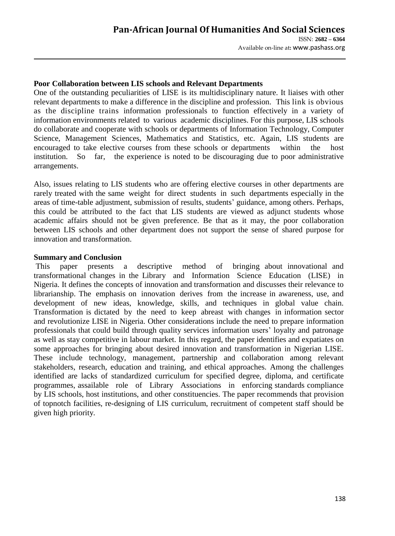## **Poor Collaboration between LIS schools and Relevant Departments**

One of the outstanding peculiarities of LISE is its multidisciplinary nature. It liaises with other relevant departments to make a difference in the discipline and profession. This link is obvious as the discipline trains information professionals to function effectively in a variety of information environments related to various academic disciplines. For this purpose, LIS schools do collaborate and cooperate with schools or departments of Information Technology, Computer Science, Management Sciences, Mathematics and Statistics, etc. Again, LIS students are encouraged to take elective courses from these schools or departments within the host institution. So far, the experience is noted to be discouraging due to poor administrative arrangements.

Also, issues relating to LIS students who are offering elective courses in other departments are rarely treated with the same weight for direct students in such departments especially in the areas of time-table adjustment, submission of results, students' guidance, among others. Perhaps, this could be attributed to the fact that LIS students are viewed as adjunct students whose academic affairs should not be given preference. Be that as it may, the poor collaboration between LIS schools and other department does not support the sense of shared purpose for innovation and transformation.

#### **Summary and Conclusion**

This paper presents a descriptive method of bringing about innovational and transformational changes in the Library and Information Science Education (LISE) in Nigeria. It defines the concepts of innovation and transformation and discusses their relevance to librarianship. The emphasis on innovation derives from the increase in awareness, use, and development of new ideas, knowledge, skills, and techniques in global value chain. Transformation is dictated by the need to keep abreast with changes in information sector and revolutionize LISE in Nigeria. Other considerations include the need to prepare information professionals that could build through quality services information users' loyalty and patronage as well as stay competitive in labour market. In this regard, the paper identifies and expatiates on some approaches for bringing about desired innovation and transformation in Nigerian LISE. These include technology, management, partnership and collaboration among relevant stakeholders, research, education and training, and ethical approaches. Among the challenges identified are lacks of standardized curriculum for specified degree, diploma, and certificate programmes, assailable role of Library Associations in enforcing standards compliance by LIS schools, host institutions, and other constituencies. The paper recommends that provision of topnotch facilities, re-designing of LIS curriculum, recruitment of competent staff should be given high priority.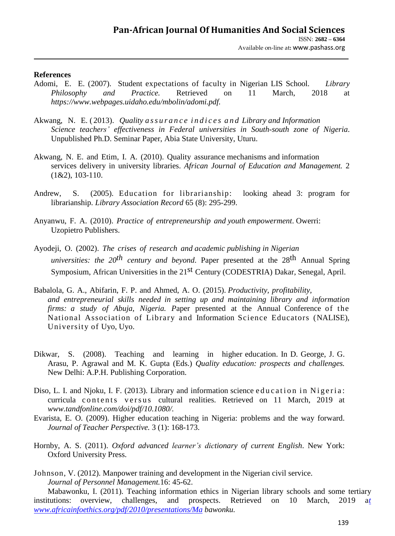#### **References**

- Adomi, E. E. (2007). Student expectations of faculty in Nigerian LIS School. *Library Philosophy and Practice.* Retrieved on 11 March, 2018 at *[https://www.webpages.uidaho.](http://www.webpages.uidaho/)edu/mbolin/adomi.pdf.*
- Akwang, N. E. ( 2013). *Quality a s s u r a n c e i n d i c e s a n d Library and Information Science teachers' effectiveness in Federal universities in South-south zone of Nigeria*. Unpublished Ph.D. Seminar Paper, Abia State University, Uturu.
- Akwang, N. E. and Etim, I. A. (2010). Quality assurance mechanisms and information services delivery in university libraries. *African Journal of Education and Management.* 2 (1&2), 103-110.
- Andrew, S. (2005). Education for librarianship: looking ahead 3: program for librarianship. *Library Association Record* 65 (8): 295-299.
- Anyanwu, F. A. (2010). *Practice of entrepreneurship and youth empowerment*. Owerri: Uzopietro Publishers.
- Ayodeji, O. (2002). *The crises of research and academic publishing in Nigerian universities: the 20th century and beyond*. Paper presented at the 28th Annual Spring Symposium, African Universities in the 21<sup>st</sup> Century (CODESTRIA) Dakar, Senegal, April.
- Babalola, G. A., Abifarin, F. P. and Ahmed, A. O. (2015). *Productivity, profitability, and entrepreneurial skills needed in setting up and maintaining library and information firms: a study of Abuja, Nigeria. P*aper presented at the Annual Conference of the National Association of Library and Information Science Educators (NALISE), University of Uyo, Uyo.
- Dikwar, S. (2008). Teaching and learning in higher education. In D. George, J. G. Arasu, P. Agrawal and M. K. Gupta (Eds.) *Quality education: prospects and challenges.*  New Delhi: A.P.H. Publishing Corporation.
- Diso, L. I. and Njoku, I. F. (2013). Library and information science education in Nigeria: curricula contents versus cultural realities. Retrieved on 11 March, 2019 at *[www.tandfonline.com/doi/pdf/10.1080/.](http://www.tandfonline.com/doi/pdf/10.1080/)*
- Evarista, E. O. (2009). Higher education teaching in Nigeria: problems and the way forward. *Journal of Teacher Perspective.* 3 (1): 168-173.
- Hornby, A. S. (2011). *Oxford advanced learner's dictionary of current English*. New York: Oxford University Press.
- Johnson, V. (2012). Manpower training and development in the Nigerian civil service. *Journal of Personnel Management.*16: 45-62.

Mabawonku, I. (2011). Teaching information ethics in Nigerian library schools and some tertiary institutions: overview, challenges, and prospects. Retrieved on 10 March, 2019 a*t www.africainfoethics.org/pdf/2010/presentations/Ma bawonku.*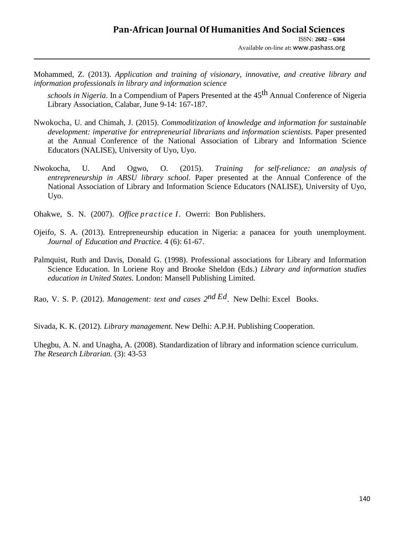Mohammed, Z. (2013). *Application and training of visionary, innovative, and creative library and information professionals in library and information science*

schools in Nigeria. In a Compendium of Papers Presented at the 45<sup>th</sup> Annual Conference of Nigeria Library Association, Calabar, June 9-14: 167-187.

- Nwokocha, U. and Chimah, J. (2015). *Commoditization of knowledge and information for sustainable development: imperative for entrepreneurial librarians and information scientists*. Paper presented at the Annual Conference of the National Association of Library and Information Science Educators (NALISE), University of Uyo, Uyo.
- Nwokocha, U. And Ogwo, O. (2015). *Training for self-reliance: an analysis of entrepreneurship in ABSU library school.* Paper presented at the Annual Conference of the National Association of Library and Information Science Educators (NALISE), University of Uyo, Uyo.

Ohakwe, S. N. (2007). *Office practice I*. Owerri: Bon Publishers.

- Ojeifo, S. A. (2013). Entrepreneurship education in Nigeria: a panacea for youth unemployment. *Journal of Education and Practice.* 4 (6): 61-67.
- Palmquist, Ruth and Davis, Donald G. (1998). Professional associations for Library and Information Science Education. In Loriene Roy and Brooke Sheldon (Eds.) *Library and information studies education in United States.* London: Mansell Publishing Limited.

Rao, V. S. P. (2012). *Management: text and cases 2 nd Ed.* New Delhi: Excel Books.

Sivada, K. K. (2012). *Library management.* New Delhi: A.P.H. Publishing Cooperation.

Uhegbu, A. N. and Unagha, A. (2008). Standardization of library and information science curriculum. *The Research Librarian.* (3): 43-53